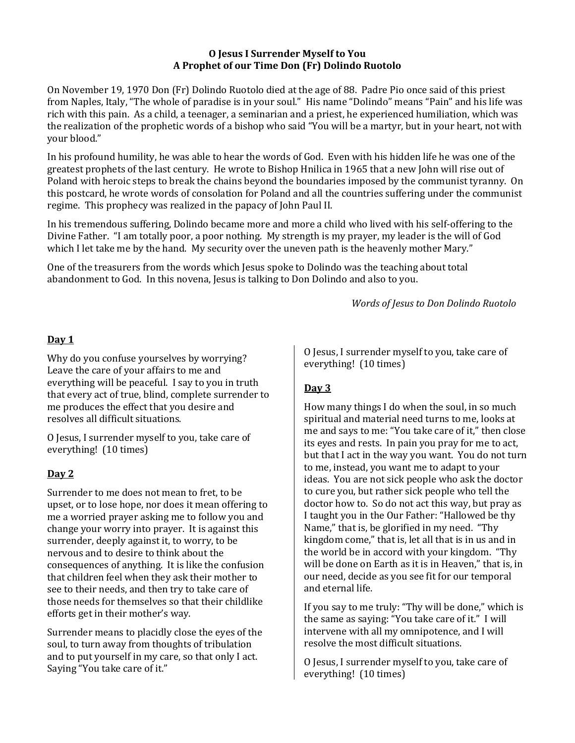#### **O Jesus I Surrender Myself to You A Prophet of our Time Don (Fr) Dolindo Ruotolo**

On November 19, 1970 Don (Fr) Dolindo Ruotolo died at the age of 88. Padre Pio once said of this priest from Naples, Italy, "The whole of paradise is in your soul." His name "Dolindo" means "Pain" and his life was rich with this pain. As a child, a teenager, a seminarian and a priest, he experienced humiliation, which was the realization of the prophetic words of a bishop who said "You will be a martyr, but in your heart, not with your blood."

In his profound humility, he was able to hear the words of God. Even with his hidden life he was one of the greatest prophets of the last century. He wrote to Bishop Hnilica in 1965 that a new John will rise out of Poland with heroic steps to break the chains beyond the boundaries imposed by the communist tyranny. On this postcard, he wrote words of consolation for Poland and all the countries suffering under the communist regime. This prophecy was realized in the papacy of John Paul II.

In his tremendous suffering, Dolindo became more and more a child who lived with his self-offering to the Divine Father. "I am totally poor, a poor nothing. My strength is my prayer, my leader is the will of God which I let take me by the hand. My security over the uneven path is the heavenly mother Mary."

One of the treasurers from the words which Jesus spoke to Dolindo was the teaching about total abandonment to God. In this novena, Jesus is talking to Don Dolindo and also to you.

*Words of Jesus to Don Dolindo Ruotolo*

### **Day 1**

Why do you confuse yourselves by worrying? Leave the care of your affairs to me and everything will be peaceful. I say to you in truth that every act of true, blind, complete surrender to me produces the effect that you desire and resolves all difficult situations.

O Jesus, I surrender myself to you, take care of everything! (10 times)

## **Day 2**

Surrender to me does not mean to fret, to be upset, or to lose hope, nor does it mean offering to me a worried prayer asking me to follow you and change your worry into prayer. It is against this surrender, deeply against it, to worry, to be nervous and to desire to think about the consequences of anything. It is like the confusion that children feel when they ask their mother to see to their needs, and then try to take care of those needs for themselves so that their childlike efforts get in their mother's way.

Surrender means to placidly close the eyes of the soul, to turn away from thoughts of tribulation and to put yourself in my care, so that only I act. Saying "You take care of it."

O Jesus, I surrender myself to you, take care of everything! (10 times)

## **Day 3**

How many things I do when the soul, in so much spiritual and material need turns to me, looks at me and says to me: "You take care of it," then close its eyes and rests. In pain you pray for me to act, but that I act in the way you want. You do not turn to me, instead, you want me to adapt to your ideas. You are not sick people who ask the doctor to cure you, but rather sick people who tell the doctor how to. So do not act this way, but pray as I taught you in the Our Father: "Hallowed be thy Name," that is, be glorified in my need. "Thy kingdom come," that is, let all that is in us and in the world be in accord with your kingdom. "Thy will be done on Earth as it is in Heaven," that is, in our need, decide as you see fit for our temporal and eternal life.

If you say to me truly: "Thy will be done," which is the same as saying: "You take care of it." I will intervene with all my omnipotence, and I will resolve the most difficult situations.

O Jesus, I surrender myself to you, take care of everything! (10 times)